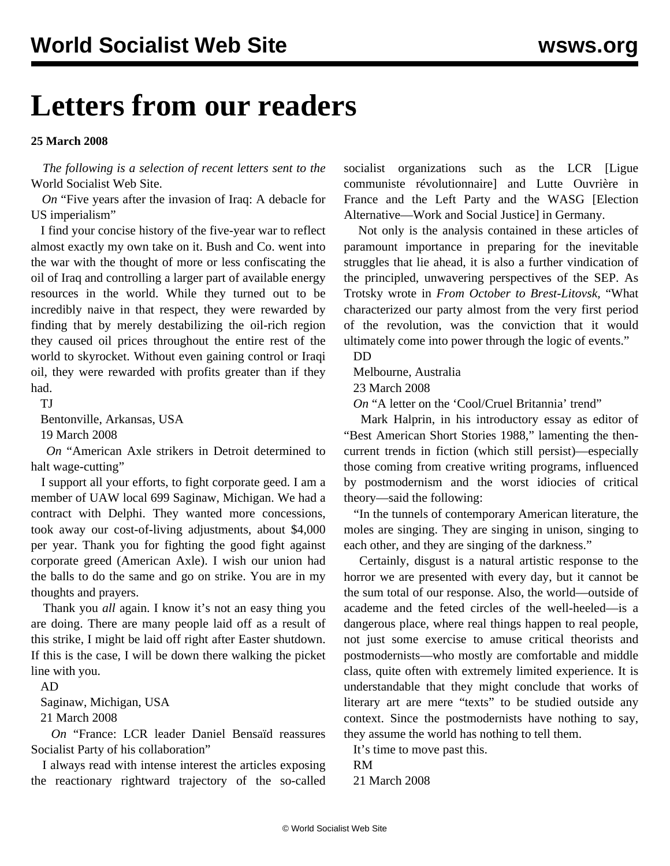# **Letters from our readers**

### **25 March 2008**

 *The following is a selection of recent letters sent to the* World Socialist Web Site.

 *On* ["Five years after the invasion of Iraq: A debacle for](iwar-m19.shtml) [US imperialism"](iwar-m19.shtml)

 I find your concise history of the five-year war to reflect almost exactly my own take on it. Bush and Co. went into the war with the thought of more or less confiscating the oil of Iraq and controlling a larger part of available energy resources in the world. While they turned out to be incredibly naive in that respect, they were rewarded by finding that by merely destabilizing the oil-rich region they caused oil prices throughout the entire rest of the world to skyrocket. Without even gaining control or Iraqi oil, they were rewarded with profits greater than if they had.

TJ

Bentonville, Arkansas, USA

19 March 2008

 *On* ["American Axle strikers in Detroit determined to](amax-m21.shtml) [halt wage-cutting"](amax-m21.shtml)

 I support all your efforts, to fight corporate geed. I am a member of UAW local 699 Saginaw, Michigan. We had a contract with Delphi. They wanted more concessions, took away our cost-of-living adjustments, about \$4,000 per year. Thank you for fighting the good fight against corporate greed (American Axle). I wish our union had the balls to do the same and go on strike. You are in my thoughts and prayers.

 Thank you *all* again. I know it's not an easy thing you are doing. There are many people laid off as a result of this strike, I might be laid off right after Easter shutdown. If this is the case, I will be down there walking the picket line with you.

AD

Saginaw, Michigan, USA

21 March 2008

 *On* ["France: LCR leader Daniel Bensaïd reassures](lcr-m17.shtml) [Socialist Party of his collaboration"](lcr-m17.shtml)

 I always read with intense interest the articles exposing the reactionary rightward trajectory of the so-called socialist organizations such as the LCR [Ligue communiste révolutionnaire] and Lutte Ouvrière in France and the Left Party and the WASG [Election Alternative—Work and Social Justice] in Germany.

 Not only is the analysis contained in these articles of paramount importance in preparing for the inevitable struggles that lie ahead, it is also a further vindication of the principled, unwavering perspectives of the SEP. As Trotsky wrote in *From October to Brest-Litovsk,* "What characterized our party almost from the very first period of the revolution, was the conviction that it would ultimately come into power through the logic of events."

DD

Melbourne, Australia

23 March 2008

*On* ["A letter on the 'Cool/Cruel Britannia' trend"](brit-m21.shtml)

 Mark Halprin, in his introductory essay as editor of "Best American Short Stories 1988," lamenting the thencurrent trends in fiction (which still persist)—especially those coming from creative writing programs, influenced by postmodernism and the worst idiocies of critical theory—said the following:

 "In the tunnels of contemporary American literature, the moles are singing. They are singing in unison, singing to each other, and they are singing of the darkness."

 Certainly, disgust is a natural artistic response to the horror we are presented with every day, but it cannot be the sum total of our response. Also, the world—outside of academe and the feted circles of the well-heeled—is a dangerous place, where real things happen to real people, not just some exercise to amuse critical theorists and postmodernists—who mostly are comfortable and middle class, quite often with extremely limited experience. It is understandable that they might conclude that works of literary art are mere "texts" to be studied outside any context. Since the postmodernists have nothing to say, they assume the world has nothing to tell them.

It's time to move past this.

RM

21 March 2008